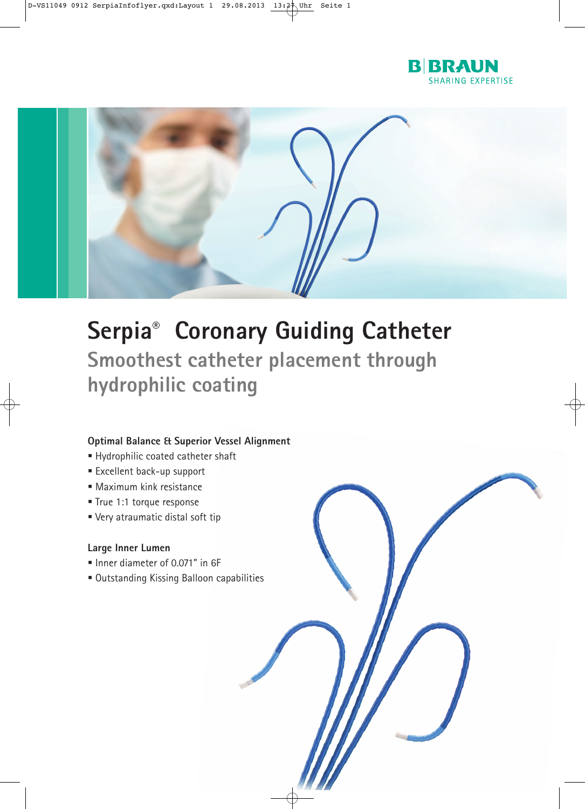



## **Serpia® Coronary Guiding Catheter Smoothest catheter placement through hydrophilic coating**

## **Optimal Balance & Superior Vessel Alignment**

- Hydrophilic coated catheter shaft
- **Excellent back-up support**
- Maximum kink resistance
- True 1:1 torque response
- Very atraumatic distal soft tip

## **Large Inner Lumen**

- Inner diameter of 0.071" in 6F
- Outstanding Kissing Balloon capabilities